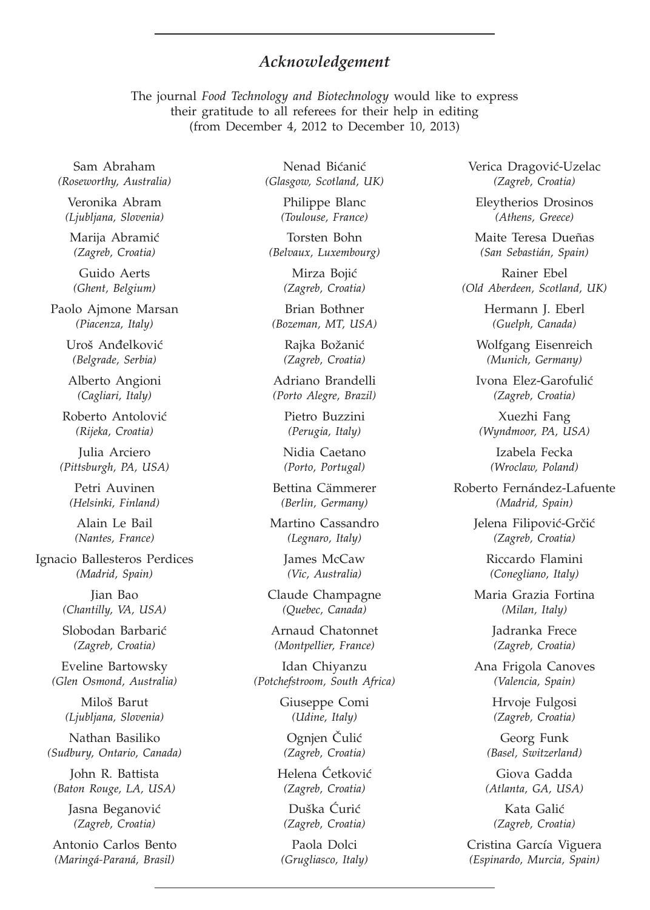## *Acknowledgement*

The journal *Food Technology and Biotechnology* would like to express their gratitude to all referees for their help in editing (from December 4, 2012 to December 10, 2013)

Sam Abraham *(Roseworthy, Australia)*

Veronika Abram *(Ljubljana, Slovenia)*

Marija Abramić *(Zagreb, Croatia)*

Guido Aerts *(Ghent, Belgium)*

Paolo Ajmone Marsan *(Piacenza, Italy)*

> Uroš Anđelković *(Belgrade, Serbia)*

Alberto Angioni *(Cagliari, Italy)*

Roberto Antolović *(Rijeka, Croatia)*

Julia Arciero *(Pittsburgh, PA, USA)*

Petri Auvinen *(Helsinki, Finland)*

Alain Le Bail *(Nantes, France)*

Ignacio Ballesteros Perdices *(Madrid, Spain)*

> Jian Bao *(Chantilly, VA, USA)*

Slobodan Barbarić *(Zagreb, Croatia)*

Eveline Bartowsky *(Glen Osmond, Australia)*

> Miloš Barut *(Ljubljana, Slovenia)*

Nathan Basiliko *(Sudbury, Ontario, Canada)*

John R. Battista *(Baton Rouge, LA, USA)*

> Jasna Beganović *(Zagreb, Croatia)*

Antonio Carlos Bento *(Maringá-Paraná, Brasil)*

Nenad Bićanić *(Glasgow, Scotland, UK)*

> Philippe Blanc *(Toulouse, France)*

Torsten Bohn *(Belvaux, Luxembourg)*

> Mirza Bojić *(Zagreb, Croatia)*

Brian Bothner *(Bozeman, MT, USA)*

> Rajka Božanić *(Zagreb, Croatia)*

Adriano Brandelli *(Porto Alegre, Brazil)*

> Pietro Buzzini *(Perugia, Italy)*

Nidia Caetano *(Porto, Portugal)*

Bettina Cämmerer *(Berlin, Germany)*

Martino Cassandro *(Legnaro, Italy)*

> James McCaw *(Vic, Australia)*

Claude Champagne *(Quebec, Canada)*

Arnaud Chatonnet *(Montpellier, France)*

Idan Chiyanzu *(Potchefstroom, South Africa)*

> Giuseppe Comi *(Udine, Italy)*

Ognjen Čulić *(Zagreb, Croatia)*

Helena Ćetković *(Zagreb, Croatia)*

Duška Ćurić *(Zagreb, Croatia)*

Paola Dolci *(Grugliasco, Italy)* Verica Dragović-Uzelac *(Zagreb, Croatia)*

Eleytherios Drosinos *(Athens, Greece)*

Maite Teresa Dueñas *(San Sebastián, Spain)*

Rainer Ebel *(Old Aberdeen, Scotland, UK)*

> Hermann J. Eberl *(Guelph, Canada)*

Wolfgang Eisenreich *(Munich, Germany)*

Ivona Elez-Garofulić *(Zagreb, Croatia)*

Xuezhi Fang *(Wyndmoor, PA, USA)*

> Izabela Fecka *(Wroclaw, Poland)*

Roberto Fernández-Lafuente *(Madrid, Spain)*

> Jelena Filipović-Grčić *(Zagreb, Croatia)*

> > Riccardo Flamini *(Conegliano, Italy)*

Maria Grazia Fortina *(Milan, Italy)*

> Jadranka Frece *(Zagreb, Croatia)*

Ana Frigola Canoves *(Valencia, Spain)*

> Hrvoje Fulgosi *(Zagreb, Croatia)*

Georg Funk *(Basel, Switzerland)*

Giova Gadda *(Atlanta, GA, USA)*

Kata Galić *(Zagreb, Croatia)*

Cristina García Viguera *(Espinardo, Murcia, Spain)*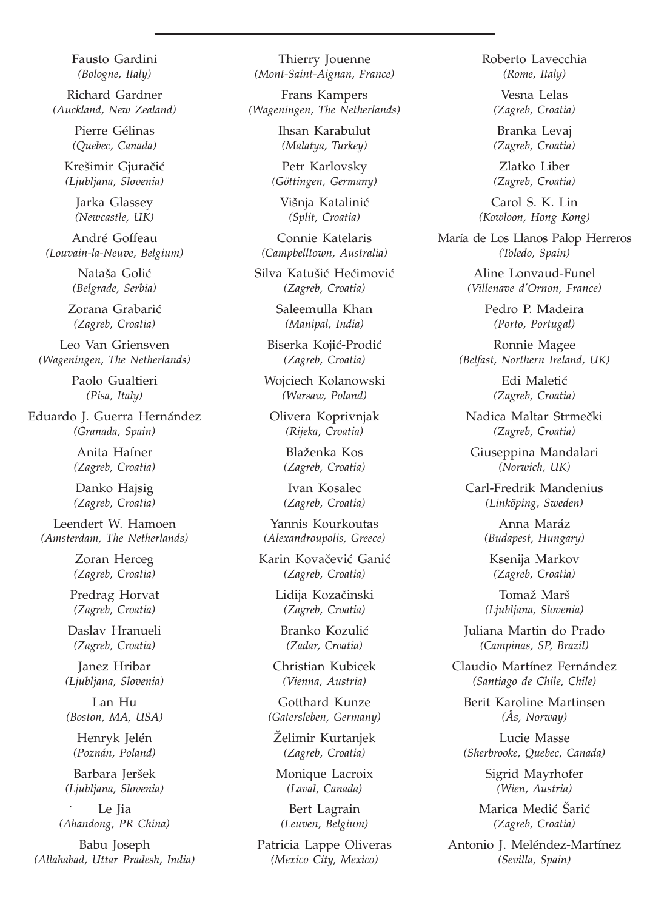Fausto Gardini *(Bologne, Italy)*

Richard Gardner *(Auckland, New Zealand)*

> Pierre Gélinas *(Quebec, Canada)*

Krešimir Gjuračić *(Ljubljana, Slovenia)*

Jarka Glassey *(Newcastle, UK)*

André Goffeau *(Louvain-la-Neuve, Belgium)*

> Nataša Golić *(Belgrade, Serbia)*

Zorana Grabarić *(Zagreb, Croatia)*

Leo Van Griensven *(Wageningen, The Netherlands)*

> Paolo Gualtieri *(Pisa, Italy)*

Eduardo J. Guerra Hernández *(Granada, Spain)*

> Anita Hafner *(Zagreb, Croatia)*

Danko Hajsig *(Zagreb, Croatia)*

Leendert W. Hamoen *(Amsterdam, The Netherlands)*

> Zoran Herceg *(Zagreb, Croatia)*

Predrag Horvat *(Zagreb, Croatia)*

Daslav Hranueli *(Zagreb, Croatia)*

Janez Hribar *(Ljubljana, Slovenia)*

Lan Hu *(Boston, MA, USA)*

Henryk Jelén *(Poznán, Poland)*

Barbara Jeršek *(Ljubljana, Slovenia)*

Le Jia *(Ahandong, PR China)* .

Babu Joseph *(Allahabad, Uttar Pradesh, India)*

Thierry Jouenne *(Mont-Saint-Aignan, France)*

Frans Kampers *(Wageningen, The Netherlands)*

> Ihsan Karabulut *(Malatya, Turkey)*

Petr Karlovsky *(Göttingen, Germany)*

Višnja Katalinić *(Split, Croatia)*

Connie Katelaris *(Campbelltown, Australia)*

Silva Katušić Hećimović *(Zagreb, Croatia)*

> Saleemulla Khan *(Manipal, India)*

Biserka Kojić-Prodić *(Zagreb, Croatia)*

Wojciech Kolanowski *(Warsaw, Poland)*

Olivera Koprivnjak *(Rijeka, Croatia)*

> Blaženka Kos *(Zagreb, Croatia)*

> Ivan Kosalec *(Zagreb, Croatia)*

Yannis Kourkoutas *(Alexandroupolis, Greece)*

Karin Kovačević Ganić *(Zagreb, Croatia)*

> Lidija Kozačinski *(Zagreb, Croatia)*

Branko Kozulić *(Zadar, Croatia)*

Christian Kubicek *(Vienna, Austria)*

Gotthard Kunze *(Gatersleben, Germany)*

Želimir Kurtanjek *(Zagreb, Croatia)*

Monique Lacroix *(Laval, Canada)*

Bert Lagrain *(Leuven, Belgium)*

Patricia Lappe Oliveras *(Mexico City, Mexico)*

Roberto Lavecchia *(Rome, Italy)*

> Vesna Lelas *(Zagreb, Croatia)*

Branka Levaj *(Zagreb, Croatia)*

Zlatko Liber *(Zagreb, Croatia)*

Carol S. K. Lin *(Kowloon, Hong Kong)*

María de Los Llanos Palop Herreros *(Toledo, Spain)*

> Aline Lonvaud-Funel *(Villenave d'Ornon, France)*

> > Pedro P. Madeira *(Porto, Portugal)*

Ronnie Magee *(Belfast, Northern Ireland, UK)*

> Edi Maletić *(Zagreb, Croatia)*

Nadica Maltar Strmečki *(Zagreb, Croatia)*

Giuseppina Mandalari *(Norwich, UK)*

Carl-Fredrik Mandenius *(Linköping, Sweden)*

> Anna Maráz *(Budapest, Hungary)*

Ksenija Markov *(Zagreb, Croatia)*

Tomaž Marš *(Ljubljana, Slovenia)*

Juliana Martin do Prado *(Campinas, SP, Brazil)*

Claudio Martínez Fernández *(Santiago de Chile, Chile)*

Berit Karoline Martinsen *(Ås, Norway)*

Lucie Masse *(Sherbrooke, Quebec, Canada)*

> Sigrid Mayrhofer *(Wien, Austria)*

Marica Medić Šarić *(Zagreb, Croatia)*

Antonio J. Meléndez-Martínez *(Sevilla, Spain)*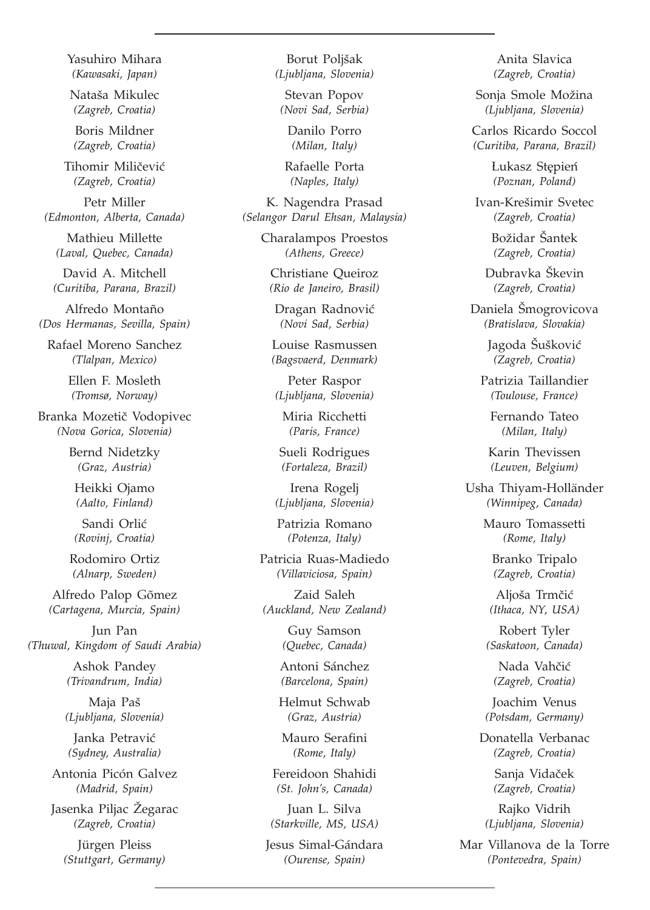Yasuhiro Mihara *(Kawasaki, Japan)*

Nataša Mikulec *(Zagreb, Croatia)*

Boris Mildner *(Zagreb, Croatia)*

Tihomir Miličević *(Zagreb, Croatia)*

Petr Miller *(Edmonton, Alberta, Canada)*

Mathieu Millette *(Laval, Quebec, Canada)*

David A. Mitchell *(Curitiba, Parana, Brazil)*

Alfredo Montaño *(Dos Hermanas, Sevilla, Spain)*

Rafael Moreno Sanchez *(Tlalpan, Mexico)*

> Ellen F. Mosleth *(Tromsø, Norway)*

Branka Mozetič Vodopivec *(Nova Gorica, Slovenia)*

> Bernd Nidetzky *(Graz, Austria)*

Heikki Ojamo *(Aalto, Finland)*

Sandi Orlić *(Rovinj, Croatia)*

Rodomiro Ortiz *(Alnarp, Sweden)*

Alfredo Palop Gõmez *(Cartagena, Murcia, Spain)*

Jun Pan *(Thuwal, Kingdom of Saudi Arabia)*

> Ashok Pandey *(Trivandrum, India)*

Maja Paš *(Ljubljana, Slovenia)*

Janka Petravić *(Sydney, Australia)*

Antonia Picón Galvez *(Madrid, Spain)*

Jasenka Piljac Žegarac *(Zagreb, Croatia)*

Jürgen Pleiss *(Stuttgart, Germany)*

Borut Poljšak *(Ljubljana, Slovenia)*

Stevan Popov *(Novi Sad, Serbia)*

> Danilo Porro *(Milan, Italy)*

Rafaelle Porta *(Naples, Italy)*

K. Nagendra Prasad *(Selangor Darul Ehsan, Malaysia)*

> Charalampos Proestos *(Athens, Greece)*

Christiane Queiroz *(Rio de Janeiro, Brasil)*

Dragan Radnović *(Novi Sad, Serbia)*

Louise Rasmussen *(Bagsvaerd, Denmark)*

Peter Raspor *(Ljubljana, Slovenia)*

Miria Ricchetti *(Paris, France)*

Sueli Rodrigues *(Fortaleza, Brazil)*

Irena Rogelj *(Ljubljana, Slovenia)*

Patrizia Romano *(Potenza, Italy)*

Patricia Ruas-Madiedo *(Villaviciosa, Spain)*

Zaid Saleh *(Auckland, New Zealand)*

> Guy Samson *(Quebec, Canada)*

Antoni Sánchez *(Barcelona, Spain)*

Helmut Schwab *(Graz, Austria)*

Mauro Serafini *(Rome, Italy)*

Fereidoon Shahidi *(St. John's, Canada)*

Juan L. Silva *(Starkville, MS, USA)*

Jesus Simal-Gándara *(Ourense, Spain)*

Anita Slavica *(Zagreb, Croatia)*

Sonja Smole Možina *(Ljubljana, Slovenia)*

Carlos Ricardo Soccol *(Curitiba, Parana, Brazil)*

> Lukasz Stępień<br><sup>(Poznan Poland)</sup> *(Poznan, Poland)*

Ivan-Kre{imir Svetec *(Zagreb, Croatia)*

> Božidar Šantek *(Zagreb, Croatia)*

Dubravka Škevin *(Zagreb, Croatia)*

Daniela Šmogrovicova *(Bratislava, Slovakia)*

> Jagoda Šušković *(Zagreb, Croatia)*

Patrizia Taillandier *(Toulouse, France)*

Fernando Tateo *(Milan, Italy)*

Karin Thevissen *(Leuven, Belgium)*

Usha Thiyam-Holländer *(Winnipeg, Canada)*

> Mauro Tomassetti *(Rome, Italy)*

Branko Tripalo *(Zagreb, Croatia)*

Aljoša Trmčić *(Ithaca, NY, USA)*

Robert Tyler *(Saskatoon, Canada)*

Nada Vahčić *(Zagreb, Croatia)*

Joachim Venus *(Potsdam, Germany)*

Donatella Verbanac *(Zagreb, Croatia)*

> Sanja Vidaček *(Zagreb, Croatia)*

Rajko Vidrih *(Ljubljana, Slovenia)*

Mar Villanova de la Torre *(Pontevedra, Spain)*